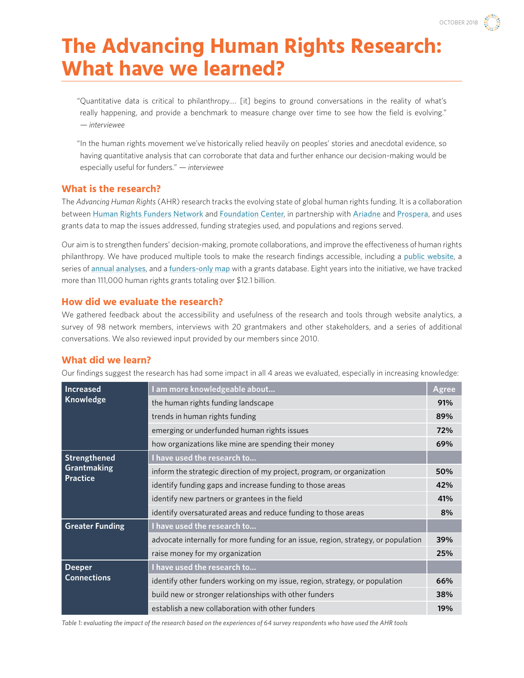# **The Advancing Human Rights Research: What have we learned?**

"Quantitative data is critical to philanthropy…. [it] begins to ground conversations in the reality of what's really happening, and provide a benchmark to measure change over time to see how the field is evolving." *— interviewee*

"In the human rights movement we've historically relied heavily on peoples' stories and anecdotal evidence, so having quantitative analysis that can corroborate that data and further enhance our decision-making would be especially useful for funders." *— interviewee*

#### **What is the research?**

The *Advancing Human Rights* (AHR) research tracks the evolving state of global human rights funding. It is a collaboration between [Human Rights Funders Network](https://www.hrfn.org/) and [Foundation Center](http://foundationcenter.org/), in partnership with [Ariadne](http://www.ariadne-network.eu/) and [Prospera](http://www.prospera-inwf.org/#!/-welcome-2/), and uses grants data to map the issues addressed, funding strategies used, and populations and regions served.

Our aim is to strengthen funders' decision-making, promote collaborations, and improve the effectiveness of human rights philanthropy. We have produced multiple tools to make the research findings accessible, including a [public website](http://humanrightsfunding.org/), a series of **[annual analyses](http://humanrightsfunding.org/key-findings/)**, and a [funders-only map](https://www.hrfn.org/map/) with a grants database. Eight years into the initiative, we have tracked more than 111,000 human rights grants totaling over \$12.1 billion.

## **How did we evaluate the research?**

We gathered feedback about the accessibility and usefulness of the research and tools through website analytics, a survey of 98 network members, interviews with 20 grantmakers and other stakeholders, and a series of additional conversations. We also reviewed input provided by our members since 2010.

## **What did we learn?**

Our findings suggest the research has had some impact in all 4 areas we evaluated, especially in increasing knowledge:

| Increased<br>Knowledge                         | am more knowledgeable about                                                        | Agree |
|------------------------------------------------|------------------------------------------------------------------------------------|-------|
|                                                | the human rights funding landscape                                                 | 91%   |
|                                                | trends in human rights funding                                                     | 89%   |
|                                                | emerging or underfunded human rights issues                                        | 72%   |
|                                                | how organizations like mine are spending their money                               | 69%   |
| Strengthened<br>Grantmaking<br><b>Practice</b> | I have used the research to                                                        |       |
|                                                | inform the strategic direction of my project, program, or organization             | 50%   |
|                                                | identify funding gaps and increase funding to those areas                          | 42%   |
|                                                | identify new partners or grantees in the field                                     | 41%   |
|                                                | identify oversaturated areas and reduce funding to those areas                     | 8%    |
| <b>Greater Funding</b>                         | I have used the research to                                                        |       |
|                                                | advocate internally for more funding for an issue, region, strategy, or population | 39%   |
|                                                | raise money for my organization                                                    | 25%   |
| <b>Deeper</b><br><b>Connections</b>            | I have used the research to                                                        |       |
|                                                | identify other funders working on my issue, region, strategy, or population        | 66%   |
|                                                | build new or stronger relationships with other funders                             | 38%   |
|                                                | establish a new collaboration with other funders                                   | 19%   |

*Table 1: evaluating the impact of the research based on the experiences of 64 survey respondents who have used the AHR tools*